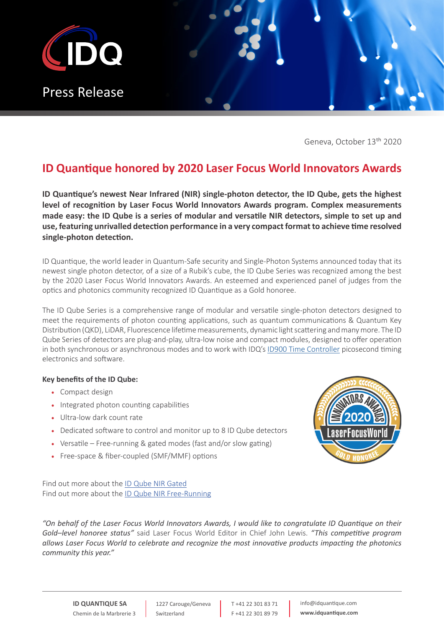

Geneva, October 13<sup>th</sup> 2020

# **ID Quantique honored by 2020 Laser Focus World Innovators Awards**

**ID Quantique's newest Near Infrared (NIR) single-photon detector, the ID Qube, gets the highest level of recognition by Laser Focus World Innovators Awards program. Complex measurements made easy: the ID Qube is a series of modular and versatile NIR detectors, simple to set up and use, featuring unrivalled detection performance in a very compact format to achieve time resolved single-photon detection.**

ID Quantique, the world leader in Quantum-Safe security and Single-Photon Systems announced today that its newest single photon detector, of a size of a Rubik's cube, the ID Qube Series was recognized among the best by the 2020 Laser Focus World Innovators Awards. An esteemed and experienced panel of judges from the optics and photonics community recognized ID Quantique as a Gold honoree.

The ID Qube Series is a comprehensive range of modular and versatile single-photon detectors designed to meet the requirements of photon counting applications, such as quantum communications & Quantum Key Distribution (QKD), LiDAR, Fluorescence lifetime measurements, dynamic light scattering and many more. The ID Qube Series of detectors are plug-and-play, ultra-low noise and compact modules, designed to offer operation in both synchronous or asynchronous modes and to work with IDQ's [ID900 Time Controller](https://www.idquantique.com/quantum-sensing/products/id900-time-controller/) picosecond timing electronics and software.

# **Key benefits of the ID Qube:**

- Compact design
- Integrated photon counting capabilities
- Ultra-low dark count rate
- Dedicated software to control and monitor up to 8 ID Qube detectors
- Versatile Free-running & gated modes (fast and/or slow gating)
- Free-space & fiber-coupled (SMF/MMF) options



Find out more about the [ID Qube NIR Gated](https://www.idquantique.com/quantum-sensing/products/id-qube-nir-gated/) Find out more about the [ID Qube NIR Free-Running](https://www.idquantique.com/quantum-sensing/products/id-qube-nir-free-running/)

*"On behalf of the Laser Focus World Innovators Awards, I would like to congratulate ID Quantique on their Gold–level honoree status"* said Laser Focus World Editor in Chief John Lewis. *"This competitive program allows Laser Focus World to celebrate and recognize the most innovative products impacting the photonics community this year."*

**ID QUANTIQUE SA** Chemin de la Marbrerie 3

1227 Carouge/Geneva Switzerland

T +41 22 301 83 71 F +41 22 301 89 79 info@idquantique.com **www.idquantique.com**